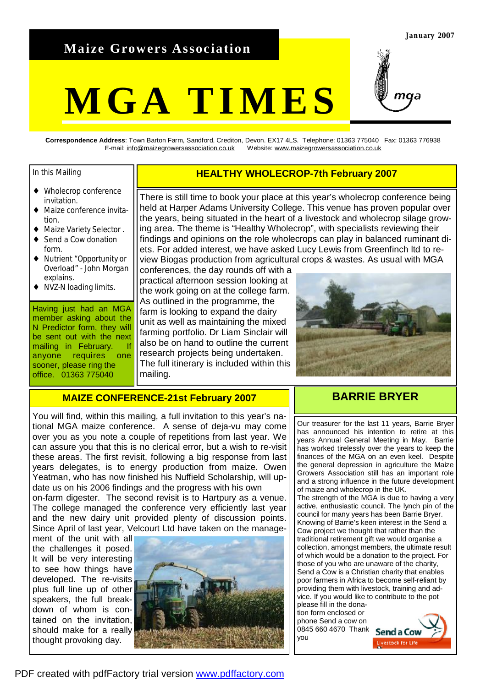# **Maize Growers Association**

# **MGA TIMES**



**Correspondence Address**: Town Barton Farm, Sandford, Crediton, Devon. EX17 4LS. Telephone: 01363 775040 Fax: 01363 776938 E-mail: [info@maizegrowersassociation.co.uk](mailto:info@maizegrowersassociation.co.uk) Website: [www.maizegrowersassociation.co.uk](http://www.maizegrowersassociation.co.uk)

#### In this Mailing

- ♦ Wholecrop conference invitation.
- ♦ Maize conference invitation.
- Maize Variety Selector .
- Send a Cow donation form.
- Nutrient "Opportunity or Overload" - John Morgan explains.
- ♦ NVZ-N loading limits.

Having just had an MGA member asking about the N Predictor form, they will be sent out with the next mailing in February. anyone requires one sooner, please ring the office. 01363 775040

### **HEALTHY WHOLECROP-7th February 2007**

There is still time to book your place at this year's wholecrop conference being held at Harper Adams University College. This venue has proven popular over the years, being situated in the heart of a livestock and wholecrop silage growing area. The theme is "Healthy Wholecrop", with specialists reviewing their findings and opinions on the role wholecrops can play in balanced ruminant diets. For added interest, we have asked Lucy Lewis from Greenfinch ltd to review Biogas production from agricultural crops & wastes. As usual with MGA

conferences, the day rounds off with a practical afternoon session looking at the work going on at the college farm. As outlined in the programme, the farm is looking to expand the dairy unit as well as maintaining the mixed farming portfolio. Dr Liam Sinclair will also be on hand to outline the current research projects being undertaken. The full itinerary is included within this mailing.



### **MAIZE CONFERENCE-21st February 2007**

You will find, within this mailing, a full invitation to this year's national MGA maize conference. A sense of deja-vu may come over you as you note a couple of repetitions from last year. We can assure you that this is no clerical error, but a wish to re-visit these areas. The first revisit, following a big response from last years delegates, is to energy production from maize. Owen Yeatman, who has now finished his Nuffield Scholarship, will update us on his 2006 findings and the progress with his own on-farm digester. The second revisit is to Hartpury as a venue. The college managed the conference very efficiently last year and the new dairy unit provided plenty of discussion points. Since April of last year, Velcourt Ltd have taken on the manage-

ment of the unit with all the challenges it posed. It will be very interesting to see how things have developed. The re-visits plus full line up of other speakers, the full breakdown of whom is contained on the invitation, should make for a really thought provoking day.



# **BARRIE BRYER**

Our treasurer for the last 11 years, Barrie Bryer has announced his intention to retire at this years Annual General Meeting in May. Barrie has worked tirelessly over the years to keep the finances of the MGA on an even keel. Despite the general depression in agriculture the Maize Growers Association still has an important role and a strong influence in the future development of maize and wholecrop in the UK. The strength of the MGA is due to having a very active, enthusiastic council. The lynch pin of the council for many years has been Barrie Bryer. Knowing of Barrie's keen interest in the Send a Cow project we thought that rather than the traditional retirement gift we would organise a collection, amongst members, the ultimate result of which would be a donation to the project. For those of you who are unaware of the charity, Send a Cow is a Christian charity that enables poor farmers in Africa to become self-reliant by providing them with livestock, training and advice. If you would like to contribute to the pot please fill in the dona-

tion form enclosed or phone Send a cow on 0845 660 4670 Thank **Send a Cow** you

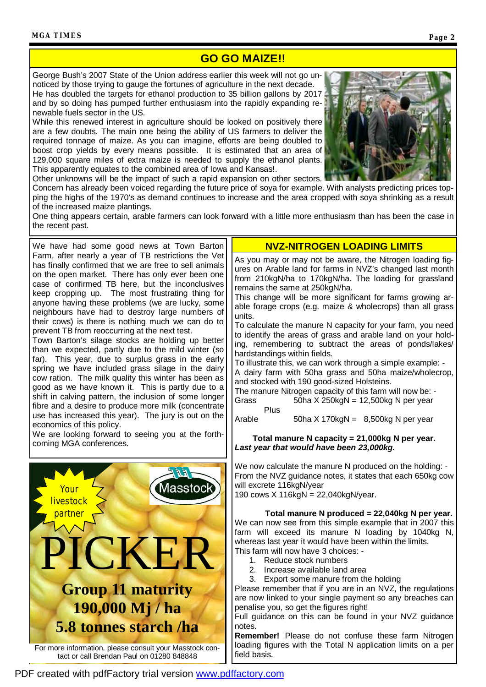# **GO GO MAIZE!!**

George Bush's 2007 State of the Union address earlier this week will not go unnoticed by those trying to gauge the fortunes of agriculture in the next decade. He has doubled the targets for ethanol production to 35 billion gallons by 2017. and by so doing has pumped further enthusiasm into the rapidly expanding renewable fuels sector in the US.

While this renewed interest in agriculture should be looked on positively there are a few doubts. The main one being the ability of US farmers to deliver the required tonnage of maize. As you can imagine, efforts are being doubled to boost crop yields by every means possible. It is estimated that an area of 129,000 square miles of extra maize is needed to supply the ethanol plants. This apparently equates to the combined area of Iowa and Kansas!.



Other unknowns will be the impact of such a rapid expansion on other sectors. Concern has already been voiced regarding the future price of soya for example. With analysts predicting prices topping the highs of the 1970's as demand continues to increase and the area cropped with soya shrinking as a result

of the increased maize plantings. One thing appears certain, arable farmers can look forward with a little more enthusiasm than has been the case in the recent past.

We have had some good news at Town Barton **NVZ-NITROGEN LOADING LIMITS** Farm, after nearly a year of TB restrictions the Vet has finally confirmed that we are free to sell animals on the open market. There has only ever been one case of confirmed TB here, but the inconclusives keep cropping up. The most frustrating thing for anyone having these problems (we are lucky, some neighbours have had to destroy large numbers of their cows) is there is nothing much we can do to prevent TB from reoccurring at the next test.

Town Barton's silage stocks are holding up better than we expected, partly due to the mild winter (so far). This year, due to surplus grass in the early spring we have included grass silage in the dairy cow ration. The milk quality this winter has been as good as we have known it. This is partly due to a shift in calving pattern, the inclusion of some longer fibre and a desire to produce more milk (concentrate use has increased this year). The jury is out on the economics of this policy.

We are looking forward to seeing you at the forthcoming MGA conferences.



As you may or may not be aware, the Nitrogen loading figures on Arable land for farms in NVZ's changed last month from 210kgN/ha to 170kgN/ha. The loading for grassland remains the same at 250kgN/ha.

This change will be more significant for farms growing arable forage crops (e.g. maize & wholecrops) than all grass units.

To calculate the manure N capacity for your farm, you need to identify the areas of grass and arable land on your holding, remembering to subtract the areas of ponds/lakes/ hardstandings within fields.

To illustrate this, we can work through a simple example: - A dairy farm with 50ha grass and 50ha maize/wholecrop, and stocked with 190 good-sized Holsteins.

The manure Nitrogen capacity of this farm will now be: - Grass  $50ha \times 250kgN = 12,500kg \text{ N per year}$ 

Plus Arable  $50ha \times 170kgN = 8,500kg \text{ N per year}$ 

**Total manure N capacity = 21,000kg N per year.**  *Last year that would have been 23,000kg.* 

We now calculate the manure N produced on the holding: -From the NVZ guidance notes, it states that each 650kg cow will excrete 116kgN/year

190 cows X 116kgN = 22,040kgN/year.

**Total manure N produced = 22,040kg N per year.**  We can now see from this simple example that in 2007 this farm will exceed its manure N loading by 1040kg N, whereas last year it would have been within the limits. This farm will now have 3 choices: -

- 1. Reduce stock numbers
- 2. Increase available land area
- 3. Export some manure from the holding

Please remember that if you are in an NVZ, the regulations are now linked to your single payment so any breaches can penalise you, so get the figures right!

Full guidance on this can be found in your NVZ guidance notes.

**Remember!** Please do not confuse these farm Nitrogen loading figures with the Total N application limits on a per field basis.